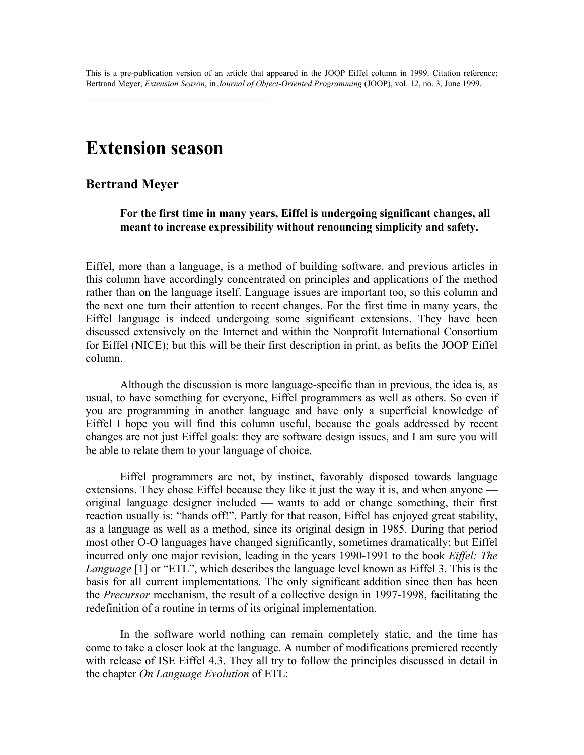This is a pre-publication version of an article that appeared in the JOOP Eiffel column in 1999. Citation reference: Bertrand Meyer, *Extension Season*, in *Journal of Object-Oriented Programming* (JOOP), vol. 12, no. 3, June 1999.

# **Extension season**

 $\mathcal{L}_\text{max}$ 

#### **Bertrand Meyer**

**For the first time in many years, Eiffel is undergoing significant changes, all meant to increase expressibility without renouncing simplicity and safety.** 

Eiffel, more than a language, is a method of building software, and previous articles in this column have accordingly concentrated on principles and applications of the method rather than on the language itself. Language issues are important too, so this column and the next one turn their attention to recent changes. For the first time in many years, the Eiffel language is indeed undergoing some significant extensions. They have been discussed extensively on the Internet and within the Nonprofit International Consortium for Eiffel (NICE); but this will be their first description in print, as befits the JOOP Eiffel column.

Although the discussion is more language-specific than in previous, the idea is, as usual, to have something for everyone, Eiffel programmers as well as others. So even if you are programming in another language and have only a superficial knowledge of Eiffel I hope you will find this column useful, because the goals addressed by recent changes are not just Eiffel goals: they are software design issues, and I am sure you will be able to relate them to your language of choice.

Eiffel programmers are not, by instinct, favorably disposed towards language extensions. They chose Eiffel because they like it just the way it is, and when anyone original language designer included — wants to add or change something, their first reaction usually is: "hands off!". Partly for that reason, Eiffel has enjoyed great stability, as a language as well as a method, since its original design in 1985. During that period most other O-O languages have changed significantly, sometimes dramatically; but Eiffel incurred only one major revision, leading in the years 1990-1991 to the book *Eiffel: The Language* [1] or "ETL", which describes the language level known as Eiffel 3. This is the basis for all current implementations. The only significant addition since then has been the *Precursor* mechanism, the result of a collective design in 1997-1998, facilitating the redefinition of a routine in terms of its original implementation.

In the software world nothing can remain completely static, and the time has come to take a closer look at the language. A number of modifications premiered recently with release of ISE Eiffel 4.3. They all try to follow the principles discussed in detail in the chapter *On Language Evolution* of ETL: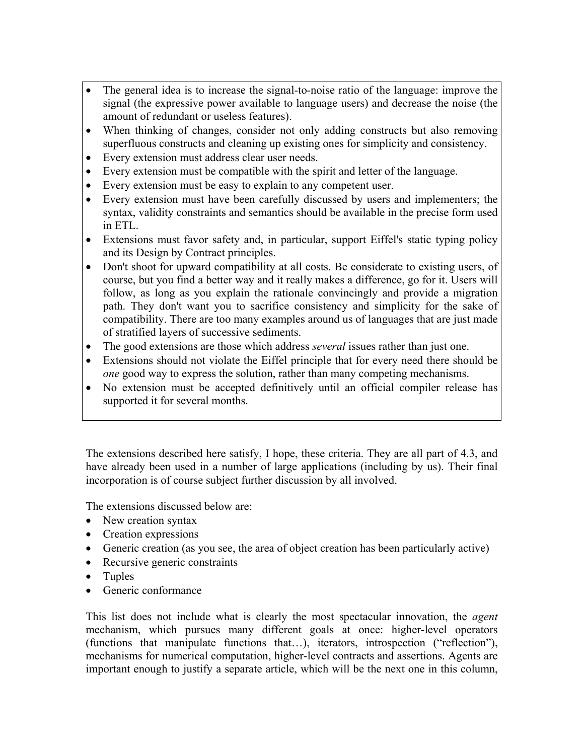- The general idea is to increase the signal-to-noise ratio of the language: improve the signal (the expressive power available to language users) and decrease the noise (the amount of redundant or useless features).
- When thinking of changes, consider not only adding constructs but also removing superfluous constructs and cleaning up existing ones for simplicity and consistency.
- Every extension must address clear user needs.
- Every extension must be compatible with the spirit and letter of the language.
- Every extension must be easy to explain to any competent user.
- Every extension must have been carefully discussed by users and implementers; the syntax, validity constraints and semantics should be available in the precise form used in ETL.
- Extensions must favor safety and, in particular, support Eiffel's static typing policy and its Design by Contract principles.
- Don't shoot for upward compatibility at all costs. Be considerate to existing users, of course, but you find a better way and it really makes a difference, go for it. Users will follow, as long as you explain the rationale convincingly and provide a migration path. They don't want you to sacrifice consistency and simplicity for the sake of compatibility. There are too many examples around us of languages that are just made of stratified layers of successive sediments.
- The good extensions are those which address *several* issues rather than just one.
- Extensions should not violate the Eiffel principle that for every need there should be *one* good way to express the solution, rather than many competing mechanisms.
- No extension must be accepted definitively until an official compiler release has supported it for several months.

The extensions described here satisfy, I hope, these criteria. They are all part of 4.3, and have already been used in a number of large applications (including by us). Their final incorporation is of course subject further discussion by all involved.

The extensions discussed below are:

- New creation syntax
- Creation expressions
- Generic creation (as you see, the area of object creation has been particularly active)
- Recursive generic constraints
- Tuples
- Generic conformance

This list does not include what is clearly the most spectacular innovation, the *agent* mechanism, which pursues many different goals at once: higher-level operators (functions that manipulate functions that…), iterators, introspection ("reflection"), mechanisms for numerical computation, higher-level contracts and assertions. Agents are important enough to justify a separate article, which will be the next one in this column,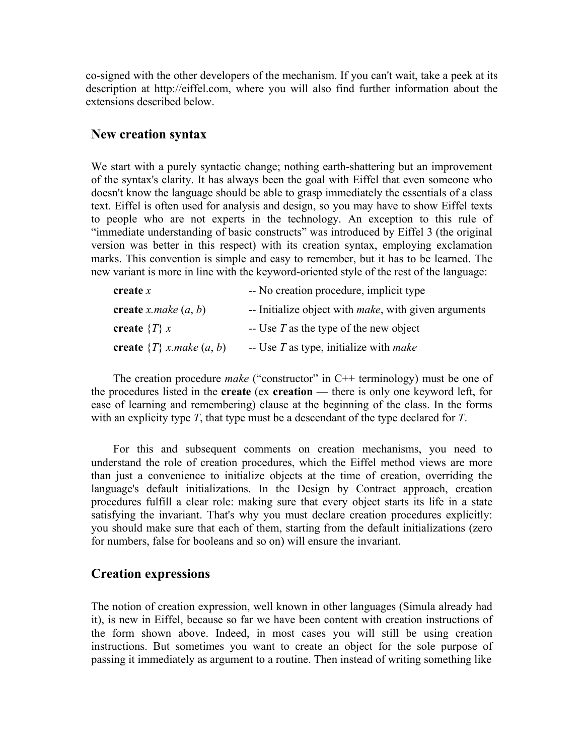co-signed with the other developers of the mechanism. If you can't wait, take a peek at its description at http://eiffel.com, where you will also find further information about the extensions described below.

#### **New creation syntax**

We start with a purely syntactic change; nothing earth-shattering but an improvement of the syntax's clarity. It has always been the goal with Eiffel that even someone who doesn't know the language should be able to grasp immediately the essentials of a class text. Eiffel is often used for analysis and design, so you may have to show Eiffel texts to people who are not experts in the technology. An exception to this rule of "immediate understanding of basic constructs" was introduced by Eiffel 3 (the original version was better in this respect) with its creation syntax, employing exclamation marks. This convention is simple and easy to remember, but it has to be learned. The new variant is more in line with the keyword-oriented style of the rest of the language:

| create $x$                     | -- No creation procedure, implicit type                      |
|--------------------------------|--------------------------------------------------------------|
| create x.make $(a, b)$         | -- Initialize object with <i>make</i> , with given arguments |
| create $\{T\} x$               | $-$ Use T as the type of the new object                      |
| create $\{T\}$ x.make $(a, b)$ | -- Use $T$ as type, initialize with <i>make</i>              |

The creation procedure *make* ("constructor" in C++ terminology) must be one of the procedures listed in the **create** (ex **creation** — there is only one keyword left, for ease of learning and remembering) clause at the beginning of the class. In the forms with an explicity type *T*, that type must be a descendant of the type declared for *T*.

 For this and subsequent comments on creation mechanisms, you need to understand the role of creation procedures, which the Eiffel method views are more than just a convenience to initialize objects at the time of creation, overriding the language's default initializations. In the Design by Contract approach, creation procedures fulfill a clear role: making sure that every object starts its life in a state satisfying the invariant. That's why you must declare creation procedures explicitly: you should make sure that each of them, starting from the default initializations (zero for numbers, false for booleans and so on) will ensure the invariant.

#### **Creation expressions**

The notion of creation expression, well known in other languages (Simula already had it), is new in Eiffel, because so far we have been content with creation instructions of the form shown above. Indeed, in most cases you will still be using creation instructions. But sometimes you want to create an object for the sole purpose of passing it immediately as argument to a routine. Then instead of writing something like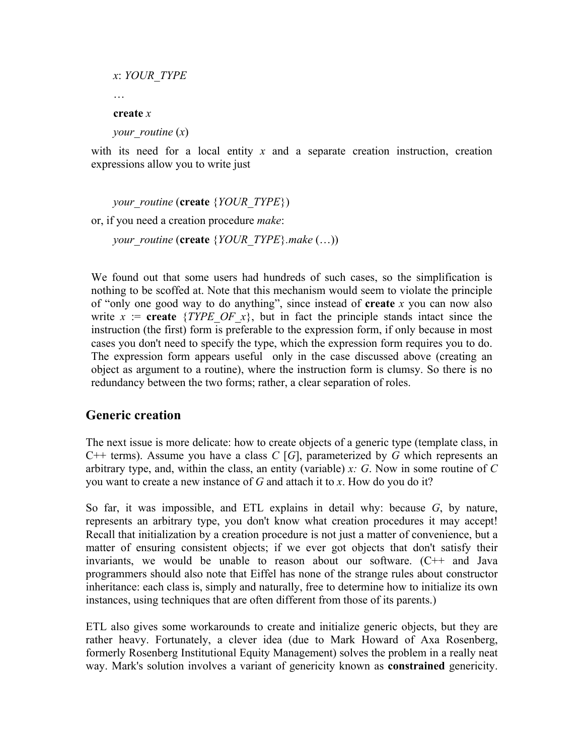```
x: YOUR_TYPE
 … 
create x
your_routine (x)
```
with its need for a local entity x and a separate creation instruction, creation expressions allow you to write just

*your\_routine* (**create** {*YOUR\_TYPE*}) or, if you need a creation procedure *make*: *your\_routine* (**create** {*YOUR\_TYPE*}*.make* (…))

We found out that some users had hundreds of such cases, so the simplification is nothing to be scoffed at. Note that this mechanism would seem to violate the principle of "only one good way to do anything", since instead of **create** *x* you can now also write  $x := \text{create} \{TYPE \text{ } OF \text{ } x\}$ , but in fact the principle stands intact since the instruction (the first) form is preferable to the expression form, if only because in most cases you don't need to specify the type, which the expression form requires you to do. The expression form appears useful only in the case discussed above (creating an object as argument to a routine), where the instruction form is clumsy. So there is no redundancy between the two forms; rather, a clear separation of roles.

# **Generic creation**

The next issue is more delicate: how to create objects of a generic type (template class, in C++ terms). Assume you have a class *C* [*G*], parameterized by *G* which represents an arbitrary type, and, within the class, an entity (variable) *x: G*. Now in some routine of *C* you want to create a new instance of *G* and attach it to *x*. How do you do it?

So far, it was impossible, and ETL explains in detail why: because *G*, by nature, represents an arbitrary type, you don't know what creation procedures it may accept! Recall that initialization by a creation procedure is not just a matter of convenience, but a matter of ensuring consistent objects; if we ever got objects that don't satisfy their invariants, we would be unable to reason about our software. (C++ and Java programmers should also note that Eiffel has none of the strange rules about constructor inheritance: each class is, simply and naturally, free to determine how to initialize its own instances, using techniques that are often different from those of its parents.)

ETL also gives some workarounds to create and initialize generic objects, but they are rather heavy. Fortunately, a clever idea (due to Mark Howard of Axa Rosenberg, formerly Rosenberg Institutional Equity Management) solves the problem in a really neat way. Mark's solution involves a variant of genericity known as **constrained** genericity.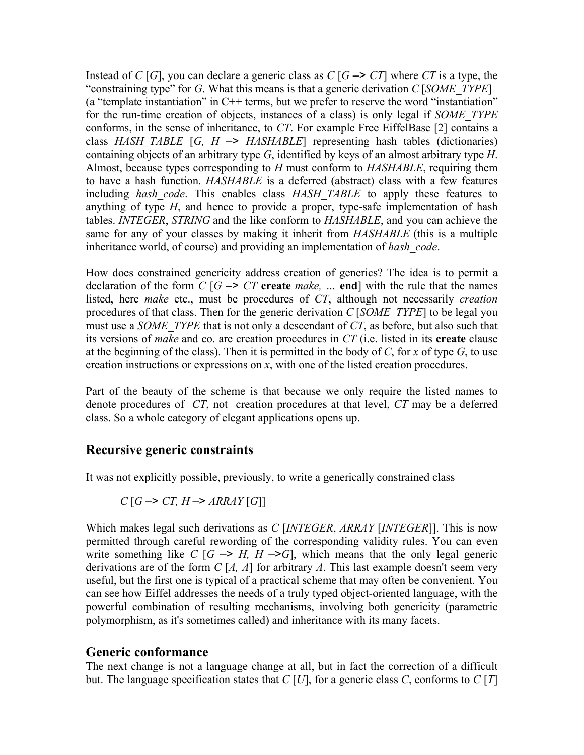Instead of *C* [*G*], you can declare a generic class as *C* [*G*  $\rightarrow$  *CT*] where *CT* is a type, the "constraining type" for *G*. What this means is that a generic derivation *C* [*SOME\_TYPE*] (a "template instantiation" in  $C++$  terms, but we prefer to reserve the word "instantiation" for the run-time creation of objects, instances of a class) is only legal if *SOME\_TYPE* conforms, in the sense of inheritance, to *CT*. For example Free EiffelBase [2] contains a class *HASH\_TABLE* [*G, H* –> *HASHABLE*] representing hash tables (dictionaries) containing objects of an arbitrary type *G*, identified by keys of an almost arbitrary type *H*. Almost, because types corresponding to *H* must conform to *HASHABLE*, requiring them to have a hash function. *HASHABLE* is a deferred (abstract) class with a few features including *hash\_code*. This enables class *HASH\_TABLE* to apply these features to anything of type *H*, and hence to provide a proper, type-safe implementation of hash tables. *INTEGER*, *STRING* and the like conform to *HASHABLE*, and you can achieve the same for any of your classes by making it inherit from *HASHABLE* (this is a multiple inheritance world, of course) and providing an implementation of *hash\_code*.

How does constrained genericity address creation of generics? The idea is to permit a declaration of the form  $C \mid G \rightarrow CT$  create *make*, ... end with the rule that the names listed, here *make* etc., must be procedures of *CT*, although not necessarily *creation*  procedures of that class. Then for the generic derivation *C* [*SOME\_TYPE*] to be legal you must use a *SOME\_TYPE* that is not only a descendant of *CT*, as before, but also such that its versions of *make* and co. are creation procedures in *CT* (i.e. listed in its **create** clause at the beginning of the class). Then it is permitted in the body of *C*, for *x* of type *G*, to use creation instructions or expressions on *x*, with one of the listed creation procedures.

Part of the beauty of the scheme is that because we only require the listed names to denote procedures of *CT*, not creation procedures at that level, *CT* may be a deferred class. So a whole category of elegant applications opens up.

# **Recursive generic constraints**

It was not explicitly possible, previously, to write a generically constrained class

$$
C[G \to CT, H \to \text{ARRAY}[G]]
$$

Which makes legal such derivations as *C* [*INTEGER*, *ARRAY* [*INTEGER*]]. This is now permitted through careful rewording of the corresponding validity rules. You can even write something like  $C$   $[G \rightarrow H, H \rightarrow G]$ , which means that the only legal generic derivations are of the form *C* [*A, A*] for arbitrary *A*. This last example doesn't seem very useful, but the first one is typical of a practical scheme that may often be convenient. You can see how Eiffel addresses the needs of a truly typed object-oriented language, with the powerful combination of resulting mechanisms, involving both genericity (parametric polymorphism, as it's sometimes called) and inheritance with its many facets.

#### **Generic conformance**

The next change is not a language change at all, but in fact the correction of a difficult but. The language specification states that  $C$  [U], for a generic class  $C$ , conforms to  $C$  [T]